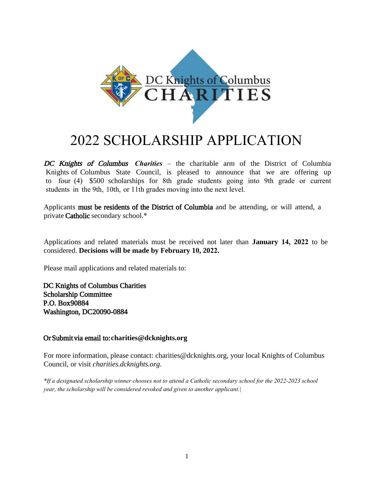

# 2022 SCHOLARSHIP APPLICATION

DC Knights of Columbus *Charities* – the charitable arm of the District of Columbia Knights of Columbus State Council, is pleased to announce that we are offering up to four (4) \$500 scholarships for 8th grade students going into 9th grade or current students in the 9th, 10th, or 11th grades moving into the next level.

Applicants must be residents of the District of Columbia and be attending, or will attend, a private Catholic secondary school.\*

Applications and related materials must be received not later than **January 14, 2022** to be considered. **Decisions will be made by February 10, 2022.**

Please mail applications and related materials to:

DC Knights of Columbus Charities Scholarship Committee P.O. Box 90884 Washington, DC 20090-0884

#### Or Submit via email to: **charities@dcknights.org**

For more information, please contact: charities@dcknights.org, your local Knights of Columbus Council, or visit *charities.dcknights.org*.

*\*If a designated scholarship winner chooses not to attend a Catholic secondary school for the 2022-2023 school year, the scholarship will be considered revoked and given to another applicant.|*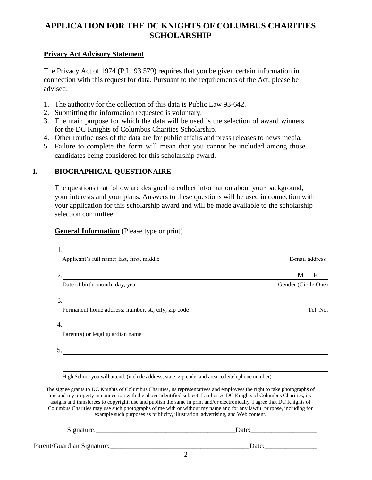# **APPLICATION FOR THE DC KNIGHTS OF COLUMBUS CHARITIES SCHOLARSHIP**

#### **Privacy Act Advisory Statement**

The Privacy Act of 1974 (P.L. 93.579) requires that you be given certain information in connection with this request for data. Pursuant to the requirements of the Act, please be advised:

- 1. The authority for the collection of this data is Public Law 93-642.
- 2. Submitting the information requested is voluntary.
- 3. The main purpose for which the data will be used is the selection of award winners for the DC Knights of Columbus Charities Scholarship.
- 4. Other routine uses of the data are for public affairs and press releases to news media.
- 5. Failure to complete the form will mean that you cannot be included among those candidates being considered for this scholarship award.

#### **I. BIOGRAPHICAL QUESTIONAIRE**

The questions that follow are designed to collect information about your background, your interests and your plans. Answers to these questions will be used in connection with your application for this scholarship award and will be made available to the scholarship selection committee.

#### **General Information** (Please type or print)

| Applicant's full name: last, first, middle                                                                                                                                                                                                                                                                                          | E-mail address      |
|-------------------------------------------------------------------------------------------------------------------------------------------------------------------------------------------------------------------------------------------------------------------------------------------------------------------------------------|---------------------|
| <u> La Carlo de la Carlo de la Carlo de la Carlo de la Carlo de la Carlo de la Carlo de la Carlo de la Carlo de</u>                                                                                                                                                                                                                 | F<br>M              |
| Date of birth: month, day, year                                                                                                                                                                                                                                                                                                     | Gender (Circle One) |
| 3.                                                                                                                                                                                                                                                                                                                                  |                     |
| Permanent home address: number, st., city, zip code                                                                                                                                                                                                                                                                                 | Tel. No.            |
| Parent(s) or legal guardian name                                                                                                                                                                                                                                                                                                    |                     |
|                                                                                                                                                                                                                                                                                                                                     |                     |
| 5.                                                                                                                                                                                                                                                                                                                                  |                     |
|                                                                                                                                                                                                                                                                                                                                     |                     |
| High School you will attend. (include address, state, zip code, and area code/telephone number)                                                                                                                                                                                                                                     |                     |
| The signee grants to DC Knights of Columbus Charities, its representatives and employees the right to take photographs of<br>me and my property in connection with the above-identified subject. I authorize DC Knights of Columbus Charities, its                                                                                  |                     |
| assigns and transferees to copyright, use and publish the same in print and/or electronically. I agree that DC Knights of<br>Columbus Charities may use such photographs of me with or without my name and for any lawful purpose, including for<br>example such purposes as publicity, illustration, advertising, and Web content. |                     |

Parent/Guardian Signature:\_\_\_\_\_\_\_\_\_\_\_\_\_\_\_\_\_\_\_\_\_\_\_\_\_\_\_\_\_\_\_\_\_\_\_\_\_\_\_\_Date:\_\_\_\_\_\_\_\_\_\_\_\_\_\_\_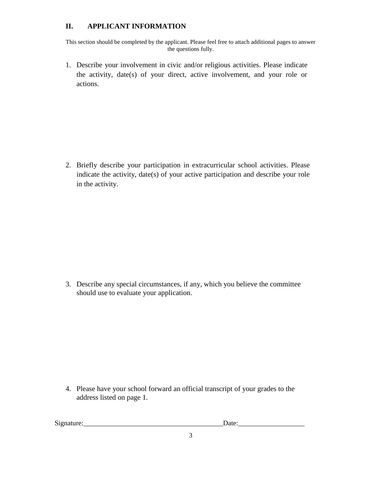### **II. APPLICANT INFORMATION**

This section should be completed by the applicant. Please feel free to attach additional pages to answer the questions fully.

1. Describe your involvement in civic and/or religious activities. Please indicate the activity, date(s) of your direct, active involvement, and your role or actions.

2. Briefly describe your participation in extracurricular school activities. Please indicate the activity, date(s) of your active participation and describe your role in the activity.

3. Describe any special circumstances, if any, which you believe the committee should use to evaluate your application.

4. Please have your school forward an official transcript of your grades to the address listed on page 1.

Signature:\_\_\_\_\_\_\_\_\_\_\_\_\_\_\_\_\_\_\_\_\_\_\_\_\_\_\_\_\_\_\_\_\_\_\_\_\_\_\_\_Date:\_\_\_\_\_\_\_\_\_\_\_\_\_\_\_\_\_\_\_